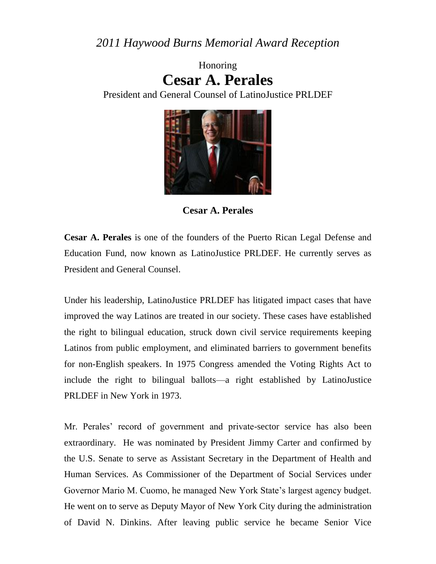*2011 Haywood Burns Memorial Award Reception*

Honoring **Cesar A. Perales**

President and General Counsel of LatinoJustice PRLDEF



**Cesar A. Perales**

**Cesar A. Perales** is one of the founders of the Puerto Rican Legal Defense and Education Fund, now known as LatinoJustice PRLDEF. He currently serves as President and General Counsel.

Under his leadership, LatinoJustice PRLDEF has litigated impact cases that have improved the way Latinos are treated in our society. These cases have established the right to bilingual education, struck down civil service requirements keeping Latinos from public employment, and eliminated barriers to government benefits for non-English speakers. In 1975 Congress amended the Voting Rights Act to include the right to bilingual ballots—a right established by LatinoJustice PRLDEF in New York in 1973.

Mr. Perales' record of government and private-sector service has also been extraordinary. He was nominated by President Jimmy Carter and confirmed by the U.S. Senate to serve as Assistant Secretary in the Department of Health and Human Services. As Commissioner of the Department of Social Services under Governor Mario M. Cuomo, he managed New York State's largest agency budget. He went on to serve as Deputy Mayor of New York City during the administration of David N. Dinkins. After leaving public service he became Senior Vice